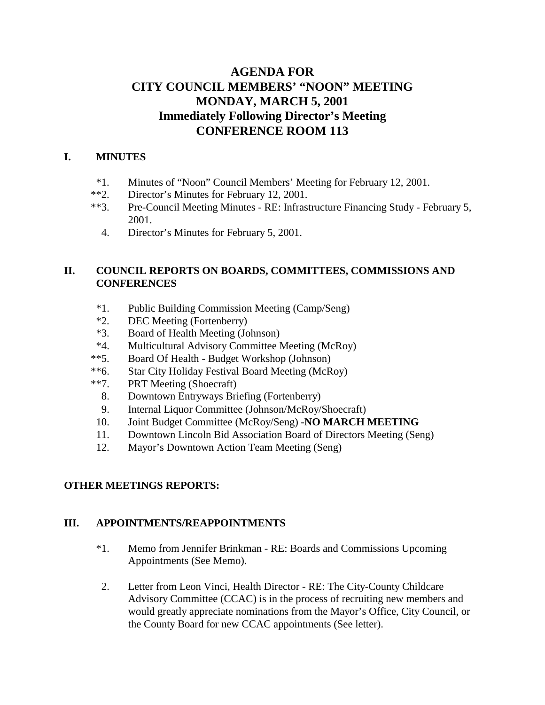# **AGENDA FOR CITY COUNCIL MEMBERS' "NOON" MEETING MONDAY, MARCH 5, 2001 Immediately Following Director's Meeting CONFERENCE ROOM 113**

### **I. MINUTES**

- \*1. Minutes of "Noon" Council Members' Meeting for February 12, 2001.
- \*\*2. Director's Minutes for February 12, 2001.
- \*\*3. Pre-Council Meeting Minutes RE: Infrastructure Financing Study February 5, 2001.
	- 4. Director's Minutes for February 5, 2001.

### **II. COUNCIL REPORTS ON BOARDS, COMMITTEES, COMMISSIONS AND CONFERENCES**

- \*1. Public Building Commission Meeting (Camp/Seng)
- \*2. DEC Meeting (Fortenberry)
- \*3. Board of Health Meeting (Johnson)
- \*4. Multicultural Advisory Committee Meeting (McRoy)
- \*\*5. Board Of Health Budget Workshop (Johnson)
- \*\*6. Star City Holiday Festival Board Meeting (McRoy)
- \*\*7. PRT Meeting (Shoecraft)
	- 8. Downtown Entryways Briefing (Fortenberry)
	- 9. Internal Liquor Committee (Johnson/McRoy/Shoecraft)
- 10. Joint Budget Committee (McRoy/Seng) -**NO MARCH MEETING**
- 11. Downtown Lincoln Bid Association Board of Directors Meeting (Seng)
- 12. Mayor's Downtown Action Team Meeting (Seng)

## **OTHER MEETINGS REPORTS:**

### **III. APPOINTMENTS/REAPPOINTMENTS**

- \*1. Memo from Jennifer Brinkman RE: Boards and Commissions Upcoming Appointments (See Memo).
- 2. Letter from Leon Vinci, Health Director RE: The City-County Childcare Advisory Committee (CCAC) is in the process of recruiting new members and would greatly appreciate nominations from the Mayor's Office, City Council, or the County Board for new CCAC appointments (See letter).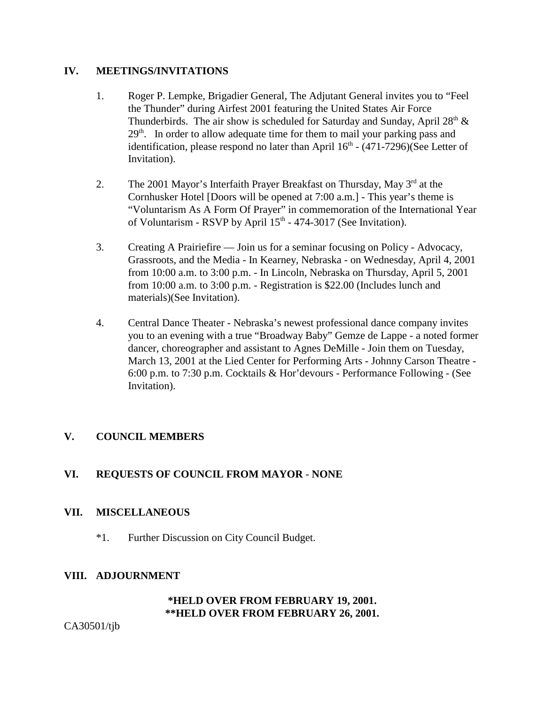#### **IV. MEETINGS/INVITATIONS**

- 1. Roger P. Lempke, Brigadier General, The Adjutant General invites you to "Feel the Thunder" during Airfest 2001 featuring the United States Air Force Thunderbirds. The air show is scheduled for Saturday and Sunday, April  $28<sup>th</sup>$  &  $29<sup>th</sup>$ . In order to allow adequate time for them to mail your parking pass and identification, please respond no later than April  $16<sup>th</sup>$  - (471-7296)(See Letter of Invitation).
- 2. The 2001 Mayor's Interfaith Prayer Breakfast on Thursday, May  $3<sup>rd</sup>$  at the Cornhusker Hotel [Doors will be opened at 7:00 a.m.] - This year's theme is "Voluntarism As A Form Of Prayer" in commemoration of the International Year of Voluntarism - RSVP by April  $15<sup>th</sup>$  - 474-3017 (See Invitation).
- 3. Creating A Prairiefire Join us for a seminar focusing on Policy Advocacy, Grassroots, and the Media - In Kearney, Nebraska - on Wednesday, April 4, 2001 from 10:00 a.m. to 3:00 p.m. - In Lincoln, Nebraska on Thursday, April 5, 2001 from 10:00 a.m. to 3:00 p.m. - Registration is \$22.00 (Includes lunch and materials)(See Invitation).
- 4. Central Dance Theater Nebraska's newest professional dance company invites you to an evening with a true "Broadway Baby" Gemze de Lappe - a noted former dancer, choreographer and assistant to Agnes DeMille - Join them on Tuesday, March 13, 2001 at the Lied Center for Performing Arts - Johnny Carson Theatre - 6:00 p.m. to 7:30 p.m. Cocktails & Hor'devours - Performance Following - (See Invitation).

## **V. COUNCIL MEMBERS**

## **VI. REQUESTS OF COUNCIL FROM MAYOR** - **NONE**

### **VII. MISCELLANEOUS**

\*1. Further Discussion on City Council Budget.

### **VIII. ADJOURNMENT**

#### **\*HELD OVER FROM FEBRUARY 19, 2001. \*\*HELD OVER FROM FEBRUARY 26, 2001.**

CA30501/tjb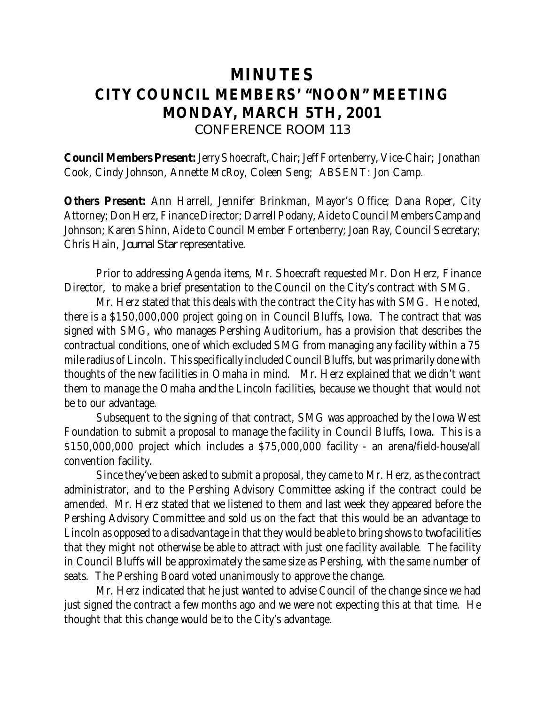# **MINUTES CITY COUNCIL MEMBERS' "NOON" MEETING MONDAY, MARCH 5TH, 2001** *CONFERENCE ROOM 113*

**Council Members Present:** Jerry Shoecraft, Chair; Jeff Fortenberry, Vice-Chair; Jonathan Cook, Cindy Johnson, Annette McRoy, Coleen Seng; ABSENT: Jon Camp.

**Others Present:** Ann Harrell, Jennifer Brinkman, Mayor's Office; Dana Roper, City Attorney; Don Herz, Finance Director; Darrell Podany, Aide to Council Members Camp and Johnson; Karen Shinn, Aide to Council Member Fortenberry; Joan Ray, Council Secretary; Chris Hain, *Journal Star* representative.

Prior to addressing Agenda items, Mr. Shoecraft requested Mr. Don Herz, Finance Director, to make a brief presentation to the Council on the City's contract with SMG.

Mr. Herz stated that this deals with the contract the City has with SMG. He noted, there is a \$150,000,000 project going on in Council Bluffs, Iowa. The contract that was signed with SMG, who manages Pershing Auditorium, has a provision that describes the contractual conditions, one of which excluded SMG from managing any facility within a 75 mile radius of Lincoln. This specifically included Council Bluffs, but was primarily done with thoughts of the new facilities in Omaha in mind. Mr. Herz explained that we didn't want them to manage the Omaha *and* the Lincoln facilities, because we thought that would not be to our advantage.

Subsequent to the signing of that contract, SMG was approached by the Iowa West Foundation to submit a proposal to manage the facility in Council Bluffs, Iowa. This is a \$150,000,000 project which includes a \$75,000,000 facility - an arena/field-house/all convention facility.

Since they've been asked to submit a proposal, they came to Mr. Herz, as the contract administrator, and to the Pershing Advisory Committee asking if the contract could be amended. Mr. Herz stated that we listened to them and last week they appeared before the Pershing Advisory Committee and sold us on the fact that this would be an advantage to Lincoln as opposed to a disadvantage in that they would be able to bring shows to *two* facilities that they might not otherwise be able to attract with just one facility available. The facility in Council Bluffs will be approximately the same size as Pershing, with the same number of seats. The Pershing Board voted unanimously to approve the change.

Mr. Herz indicated that he just wanted to advise Council of the change since we had just signed the contract a few months ago and we were not expecting this at that time. He thought that this change would be to the City's advantage.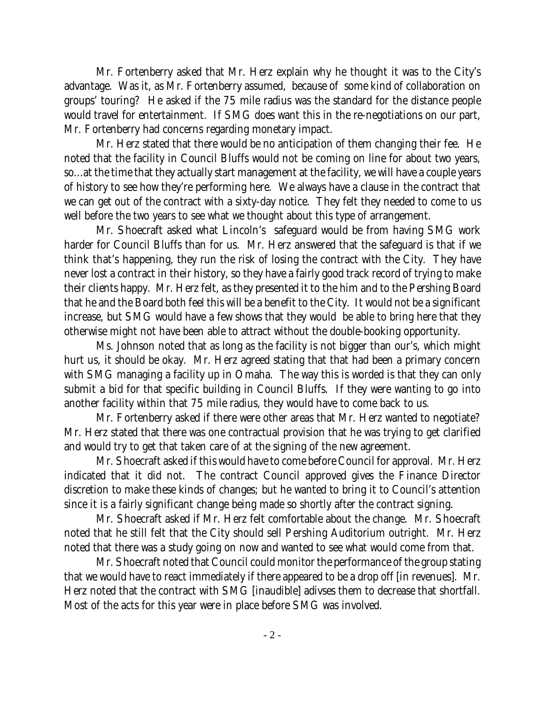Mr. Fortenberry asked that Mr. Herz explain why he thought it was to the City's advantage. Was it, as Mr. Fortenberry assumed, because of some kind of collaboration on groups' touring? He asked if the 75 mile radius was the standard for the distance people would travel for entertainment. If SMG does want this in the re-negotiations on our part, Mr. Fortenberry had concerns regarding monetary impact.

Mr. Herz stated that there would be no anticipation of them changing their fee. He noted that the facility in Council Bluffs would not be coming on line for about two years, so...at the time that they actually start management at the facility, we will have a couple years of history to see how they're performing here. We always have a clause in the contract that we can get out of the contract with a sixty-day notice. They felt they needed to come to us well before the two years to see what we thought about this type of arrangement.

Mr. Shoecraft asked what Lincoln's safeguard would be from having SMG work harder for Council Bluffs than for us. Mr. Herz answered that the safeguard is that if we think that's happening, they run the risk of losing the contract with the City. They have never lost a contract in their history, so they have a fairly good track record of trying to make their clients happy. Mr. Herz felt, as they presented it to the him and to the Pershing Board that he and the Board both feel this will be a benefit to the City. It would not be a significant increase, but SMG would have a few shows that they would be able to bring here that they otherwise might not have been able to attract without the double-booking opportunity.

Ms. Johnson noted that as long as the facility is not bigger than our's, which might hurt us, it should be okay. Mr. Herz agreed stating that that had been a primary concern with SMG managing a facility up in Omaha. The way this is worded is that they can only submit a bid for that specific building in Council Bluffs. If they were wanting to go into another facility within that 75 mile radius, they would have to come back to us.

Mr. Fortenberry asked if there were other areas that Mr. Herz wanted to negotiate? Mr. Herz stated that there was one contractual provision that he was trying to get clarified and would try to get that taken care of at the signing of the new agreement.

Mr. Shoecraft asked if this would have to come before Council for approval. Mr. Herz indicated that it did not. The contract Council approved gives the Finance Director discretion to make these kinds of changes; but he wanted to bring it to Council's attention since it is a fairly significant change being made so shortly after the contract signing.

Mr. Shoecraft asked if Mr. Herz felt comfortable about the change. Mr. Shoecraft noted that he still felt that the City should sell Pershing Auditorium outright. Mr. Herz noted that there was a study going on now and wanted to see what would come from that.

Mr. Shoecraft noted that Council could monitor the performance of the group stating that we would have to react immediately if there appeared to be a drop off [in revenues]. Mr. Herz noted that the contract with SMG [inaudible] adivses them to decrease that shortfall. Most of the acts for this year were in place before SMG was involved.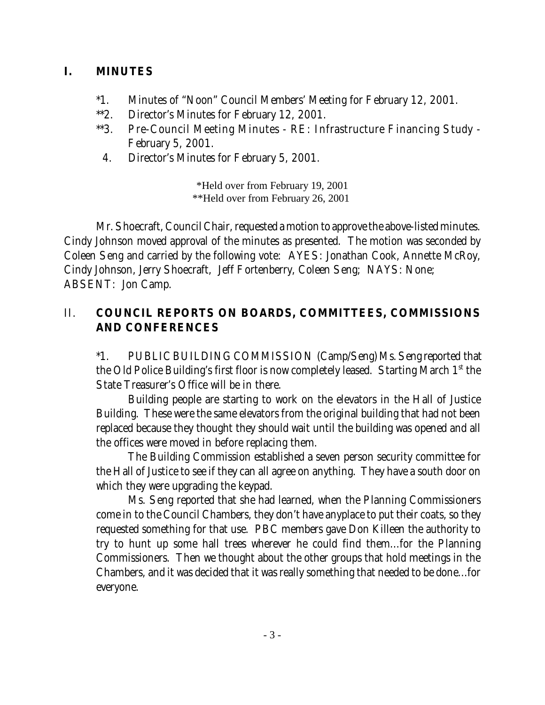# **I. MINUTES**

- \*1. Minutes of "Noon" Council Members' Meeting for February 12, 2001.
- \*\*2. Director's Minutes for February 12, 2001.
- \*\*3. Pre-Council Meeting Minutes RE: Infrastructure Financing Study February 5, 2001.
- 4. Director's Minutes for February 5, 2001.

\*Held over from February 19, 2001 \*\*Held over from February 26, 2001

Mr. Shoecraft, Council Chair, requested a motion to approve the above-listed minutes. Cindy Johnson moved approval of the minutes as presented. The motion was seconded by Coleen Seng and carried by the following vote: AYES: Jonathan Cook, Annette McRoy, Cindy Johnson, Jerry Shoecraft, Jeff Fortenberry, Coleen Seng; NAYS: None; ABSENT: Jon Camp.

# II. **COUNCIL REPORTS ON BOARDS, COMMITTEES, COMMISSIONS AND CONFERENCES**

\*1. PUBLIC BUILDING COMMISSION (Camp/Seng) Ms. Seng reported that the Old Police Building's first floor is now completely leased. Starting March  $1<sup>st</sup>$  the State Treasurer's Office will be in there.

Building people are starting to work on the elevators in the Hall of Justice Building. These were the same elevators from the original building that had not been replaced because they thought they should wait until the building was opened and all the offices were moved in before replacing them.

The Building Commission established a seven person security committee for the Hall of Justice to see if they can all agree on anything. They have a south door on which they were upgrading the keypad.

Ms. Seng reported that she had learned, when the Planning Commissioners come in to the Council Chambers, they don't have anyplace to put their coats, so they requested something for that use. PBC members gave Don Killeen the authority to try to hunt up some hall trees wherever he could find them...for the Planning Commissioners. Then we thought about the other groups that hold meetings in the Chambers, and it was decided that it was really something that needed to be done...for everyone.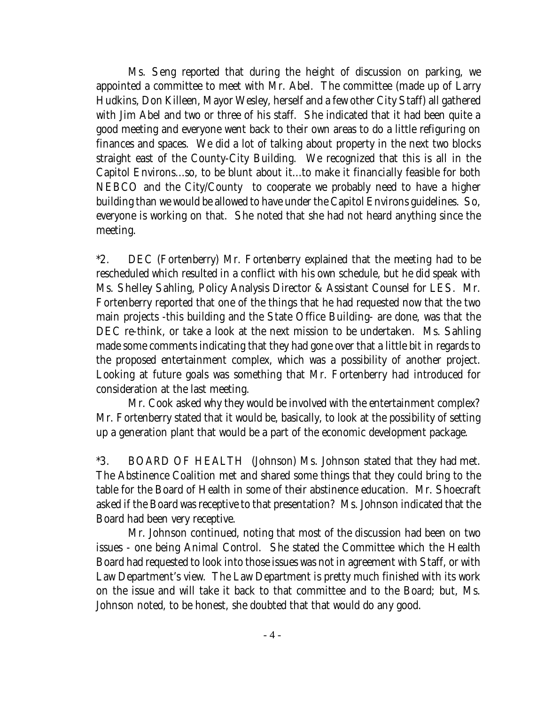Ms. Seng reported that during the height of discussion on parking, we appointed a committee to meet with Mr. Abel. The committee (made up of Larry Hudkins, Don Killeen, Mayor Wesley, herself and a few other City Staff) all gathered with Jim Abel and two or three of his staff. She indicated that it had been quite a good meeting and everyone went back to their own areas to do a little refiguring on finances and spaces. We did a lot of talking about property in the next two blocks straight east of the County-City Building. We recognized that this is all in the Capitol Environs...so, to be blunt about it...to make it financially feasible for both NEBCO and the City/County to cooperate we probably need to have a higher building than we would be allowed to have under the Capitol Environs guidelines. So, everyone is working on that. She noted that she had not heard anything since the meeting.

\*2. DEC (Fortenberry) Mr. Fortenberry explained that the meeting had to be rescheduled which resulted in a conflict with his own schedule, but he did speak with Ms. Shelley Sahling, Policy Analysis Director & Assistant Counsel for LES. Mr. Fortenberry reported that one of the things that he had requested now that the two main projects -this building and the State Office Building- are done, was that the DEC re-think, or take a look at the next mission to be undertaken. Ms. Sahling made some comments indicating that they had gone over that a little bit in regards to the proposed entertainment complex, which was a possibility of another project. Looking at future goals was something that Mr. Fortenberry had introduced for consideration at the last meeting.

Mr. Cook asked why they would be involved with the entertainment complex? Mr. Fortenberry stated that it would be, basically, to look at the possibility of setting up a generation plant that would be a part of the economic development package.

\*3. BOARD OF HEALTH (Johnson) Ms. Johnson stated that they had met. The Abstinence Coalition met and shared some things that they could bring to the table for the Board of Health in some of their abstinence education. Mr. Shoecraft asked if the Board was receptive to that presentation? Ms. Johnson indicated that the Board had been very receptive.

Mr. Johnson continued, noting that most of the discussion had been on two issues - one being Animal Control. She stated the Committee which the Health Board had requested to look into those issues was not in agreement with Staff, or with Law Department's view. The Law Department is pretty much finished with its work on the issue and will take it back to that committee and to the Board; but, Ms. Johnson noted, to be honest, she doubted that that would do any good.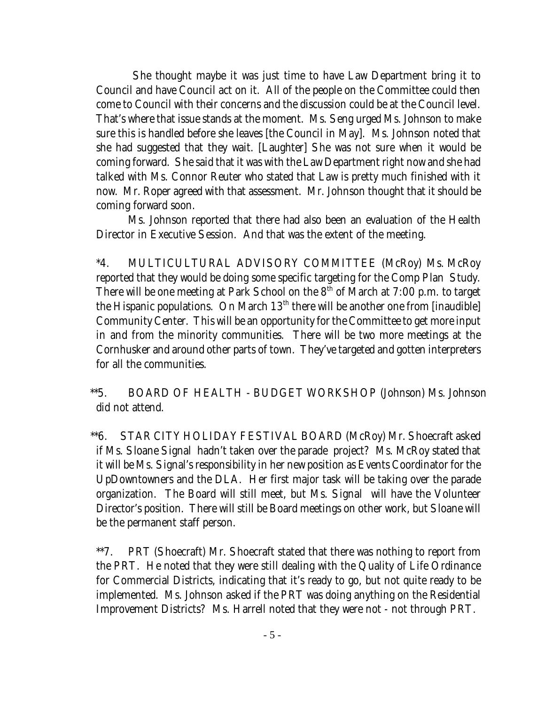She thought maybe it was just time to have Law Department bring it to Council and have Council act on it. All of the people on the Committee could then come to Council with their concerns and the discussion could be at the Council level. That's where that issue stands at the moment. Ms. Seng urged Ms. Johnson to make sure this is handled before she leaves [the Council in May]. Ms. Johnson noted that she had suggested that they wait. [Laughter] She was not sure when it would be coming forward. She said that it was with the Law Department right now and she had talked with Ms. Connor Reuter who stated that Law is pretty much finished with it now. Mr. Roper agreed with that assessment. Mr. Johnson thought that it should be coming forward soon.

Ms. Johnson reported that there had also been an evaluation of the Health Director in Executive Session. And that was the extent of the meeting.

\*4. MULTICULTURAL ADVISORY COMMITTEE (McRoy) Ms. McRoy reported that they would be doing some specific targeting for the Comp Plan Study. There will be one meeting at Park School on the  $8<sup>th</sup>$  of March at 7:00 p.m. to target the Hispanic populations. On March 13<sup>th</sup> there will be another one from [inaudible] Community Center. This will be an opportunity for the Committee to get more input in and from the minority communities. There will be two more meetings at the Cornhusker and around other parts of town. They've targeted and gotten interpreters for all the communities.

 \*\*5. BOARD OF HEALTH - BUDGET WORKSHOP (Johnson) Ms. Johnson did not attend.

 \*\*6. STAR CITY HOLIDAY FESTIVAL BOARD (McRoy) Mr. Shoecraft asked if Ms. Sloane Signal hadn't taken over the parade project? Ms. McRoy stated that it will be Ms. Signal's responsibility in her new position as Events Coordinator for the UpDowntowners and the DLA. Her first major task will be taking over the parade organization. The Board will still meet, but Ms. Signal will have the Volunteer Director's position. There will still be Board meetings on other work, but Sloane will be the permanent staff person.

 \*\*7. PRT (Shoecraft) Mr. Shoecraft stated that there was nothing to report from the PRT. He noted that they were still dealing with the Quality of Life Ordinance for Commercial Districts, indicating that it's ready to go, but not quite ready to be implemented. Ms. Johnson asked if the PRT was doing anything on the Residential Improvement Districts? Ms. Harrell noted that they were not - not through PRT.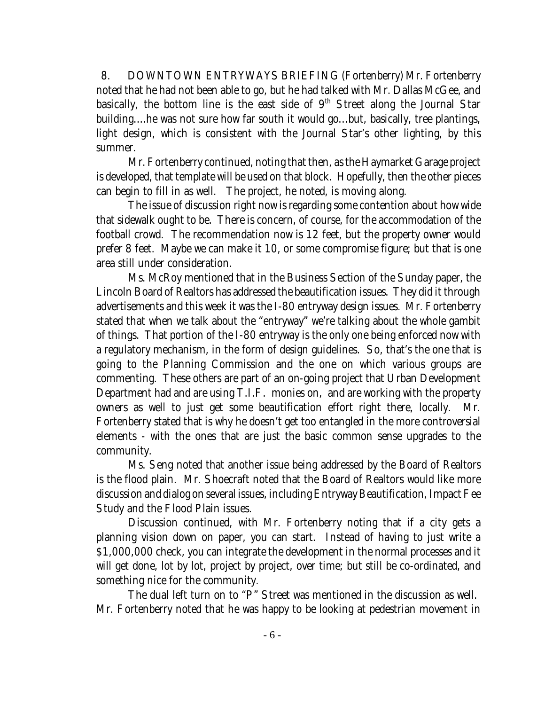8. DOWNTOWN ENTRYWAYS BRIEFING (Fortenberry) Mr. Fortenberry noted that he had not been able to go, but he had talked with Mr. Dallas McGee, and basically, the bottom line is the east side of  $9<sup>th</sup>$  Street along the Journal Star building....he was not sure how far south it would go...but, basically, tree plantings, light design, which is consistent with the Journal Star's other lighting, by this summer.

Mr. Fortenberry continued, noting that then, as the Haymarket Garage project is developed, that template will be used on that block. Hopefully, then the other pieces can begin to fill in as well. The project, he noted, is moving along.

The issue of discussion right now is regarding some contention about how wide that sidewalk ought to be. There is concern, of course, for the accommodation of the football crowd. The recommendation now is 12 feet, but the property owner would prefer 8 feet. Maybe we can make it 10, or some compromise figure; but that is one area still under consideration.

Ms. McRoy mentioned that in the Business Section of the Sunday paper, the Lincoln Board of Realtors has addressed the beautification issues. They did it through advertisements and this week it was the I-80 entryway design issues. Mr. Fortenberry stated that when we talk about the "entryway" we're talking about the whole gambit of things. That portion of the I-80 entryway is the only one being enforced now with a regulatory mechanism, in the form of design guidelines. So, that's the one that is going to the Planning Commission and the one on which various groups are commenting. These others are part of an on-going project that Urban Development Department had and are using T.I.F. monies on, and are working with the property owners as well to just get some beautification effort right there, locally. Mr. Fortenberry stated that is why he doesn't get too entangled in the more controversial elements - with the ones that are just the basic common sense upgrades to the community.

Ms. Seng noted that another issue being addressed by the Board of Realtors is the flood plain. Mr. Shoecraft noted that the Board of Realtors would like more discussion and dialog on several issues, including Entryway Beautification, Impact Fee Study and the Flood Plain issues.

Discussion continued, with Mr. Fortenberry noting that if a city gets a planning vision down on paper, you can start. Instead of having to just write a \$1,000,000 check, you can integrate the development in the normal processes and it will get done, lot by lot, project by project, over time; but still be co-ordinated, and something nice for the community.

The dual left turn on to "P" Street was mentioned in the discussion as well. Mr. Fortenberry noted that he was happy to be looking at pedestrian movement in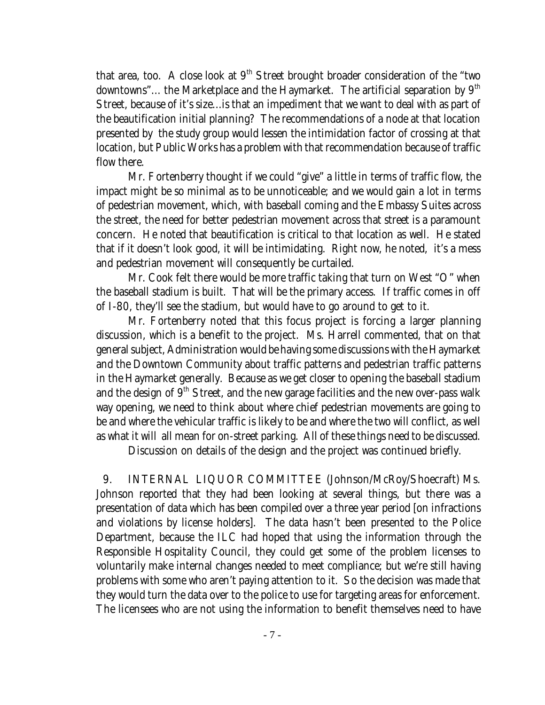that area, too. A close look at  $9<sup>th</sup>$  Street brought broader consideration of the "two downtowns"... the Marketplace and the Haymarket. The artificial separation by  $9<sup>th</sup>$ Street, because of it's size...is that an impediment that we want to deal with as part of the beautification initial planning? The recommendations of a node at that location presented by the study group would lessen the intimidation factor of crossing at that location, but Public Works has a problem with that recommendation because of traffic flow there.

Mr. Fortenberry thought if we could "give" a little in terms of traffic flow, the impact might be so minimal as to be unnoticeable; and we would gain a lot in terms of pedestrian movement, which, with baseball coming and the Embassy Suites across the street, the need for better pedestrian movement across that street is a paramount concern. He noted that beautification is critical to that location as well. He stated that if it doesn't look good, it will be intimidating. Right now, he noted, it's a mess and pedestrian movement will consequently be curtailed.

Mr. Cook felt there would be more traffic taking that turn on West "O" when the baseball stadium is built. That will be the primary access. If traffic comes in off of I-80, they'll see the stadium, but would have to go around to get to it.

Mr. Fortenberry noted that this focus project is forcing a larger planning discussion, which is a benefit to the project. Ms. Harrell commented, that on that general subject, Administration would be having some discussions with the Haymarket and the Downtown Community about traffic patterns and pedestrian traffic patterns in the Haymarket generally. Because as we get closer to opening the baseball stadium and the design of  $9<sup>th</sup>$  Street, and the new garage facilities and the new over-pass walk way opening, we need to think about where chief pedestrian movements are going to be and where the vehicular traffic is likely to be and where the two will conflict, as well as what it will all mean for on-street parking. All of these things need to be discussed.

Discussion on details of the design and the project was continued briefly.

9. INTERNAL LIQUOR COMMITTEE (Johnson/McRoy/Shoecraft) Ms. Johnson reported that they had been looking at several things, but there was a presentation of data which has been compiled over a three year period [on infractions and violations by license holders]. The data hasn't been presented to the Police Department, because the ILC had hoped that using the information through the Responsible Hospitality Council, they could get some of the problem licenses to voluntarily make internal changes needed to meet compliance; but we're still having problems with some who aren't paying attention to it. So the decision was made that they would turn the data over to the police to use for targeting areas for enforcement. The licensees who are not using the information to benefit themselves need to have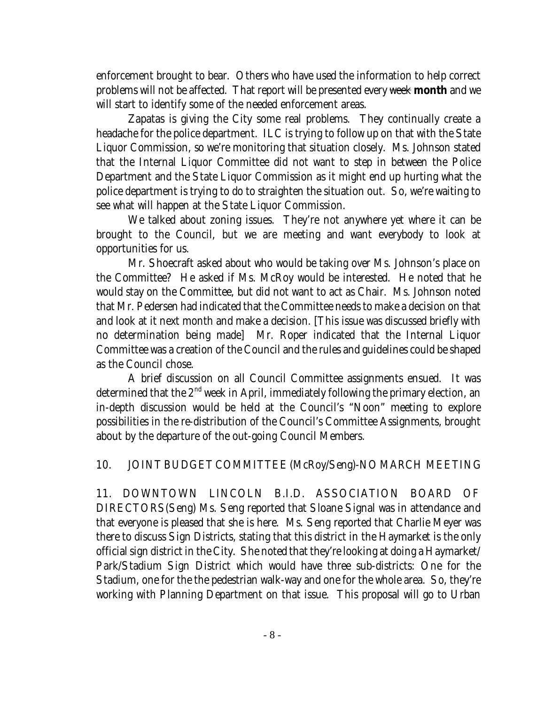enforcement brought to bear. Others who have used the information to help correct problems will not be affected. That report will be presented every week **month** and we will start to identify some of the needed enforcement areas.

Zapatas is giving the City some real problems. They continually create a headache for the police department. ILC is trying to follow up on that with the State Liquor Commission, so we're monitoring that situation closely. Ms. Johnson stated that the Internal Liquor Committee did not want to step in between the Police Department and the State Liquor Commission as it might end up hurting what the police department is trying to do to straighten the situation out. So, we're waiting to see what will happen at the State Liquor Commission.

We talked about zoning issues. They're not anywhere yet where it can be brought to the Council, but we are meeting and want everybody to look at opportunities for us.

Mr. Shoecraft asked about who would be taking over Ms. Johnson's place on the Committee? He asked if Ms. McRoy would be interested. He noted that he would stay on the Committee, but did not want to act as Chair. Ms. Johnson noted that Mr. Pedersen had indicated that the Committee needs to make a decision on that and look at it next month and make a decision. [This issue was discussed briefly with no determination being made] Mr. Roper indicated that the Internal Liquor Committee was a creation of the Council and the rules and guidelines could be shaped as the Council chose.

A brief discussion on all Council Committee assignments ensued. It was determined that the  $2<sup>nd</sup>$  week in April, immediately following the primary election, an in-depth discussion would be held at the Council's "Noon" meeting to explore possibilities in the re-distribution of the Council's Committee Assignments, brought about by the departure of the out-going Council Members.

## 10. JOINT BUDGET COMMITTEE (McRoy/Seng)-NO MARCH MEETING

11. DOWNTOWN LINCOLN B.I.D. ASSOCIATION BOARD OF DIRECTORS(Seng) Ms. Seng reported that Sloane Signal was in attendance and that everyone is pleased that she is here. Ms. Seng reported that Charlie Meyer was there to discuss Sign Districts, stating that this district in the Haymarket is the only official sign district in the City. She noted that they're looking at doing a Haymarket/ Park/Stadium Sign District which would have three sub-districts: One for the Stadium, one for the the pedestrian walk-way and one for the whole area. So, they're working with Planning Department on that issue. This proposal will go to Urban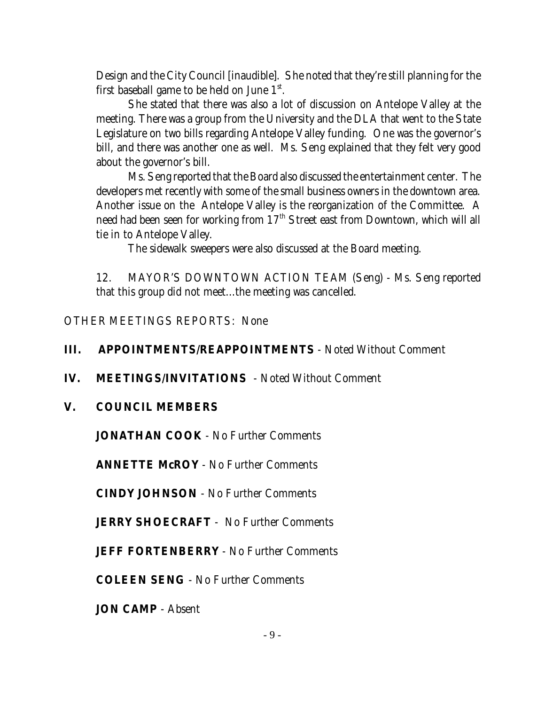Design and the City Council [inaudible]. She noted that they're still planning for the first baseball game to be held on June  $1<sup>st</sup>$ .

She stated that there was also a lot of discussion on Antelope Valley at the meeting. There was a group from the University and the DLA that went to the State Legislature on two bills regarding Antelope Valley funding. One was the governor's bill, and there was another one as well. Ms. Seng explained that they felt very good about the governor's bill.

Ms. Seng reported that the Board also discussed the entertainment center. The developers met recently with some of the small business owners in the downtown area. Another issue on the Antelope Valley is the reorganization of the Committee. A need had been seen for working from 17<sup>th</sup> Street east from Downtown, which will all tie in to Antelope Valley.

The sidewalk sweepers were also discussed at the Board meeting.

12. MAYOR'S DOWNTOWN ACTION TEAM (Seng) - Ms. Seng reported that this group did not meet...the meeting was cancelled.

OTHER MEETINGS REPORTS: None

## **III. APPOINTMENTS/REAPPOINTMENTS** - Noted Without Comment

## **IV. MEETINGS/INVITATIONS** - Noted Without Comment

## **V. COUNCIL MEMBERS**

**JONATHAN COOK** - No Further Comments

**ANNETTE McROY** - No Further Comments

**CINDY JOHNSON** - No Further Comments

**JERRY SHOECRAFT** - No Further Comments

**JEFF FORTENBERRY** - No Further Comments

**COLEEN SENG** - No Further Comments

**JON CAMP** - Absent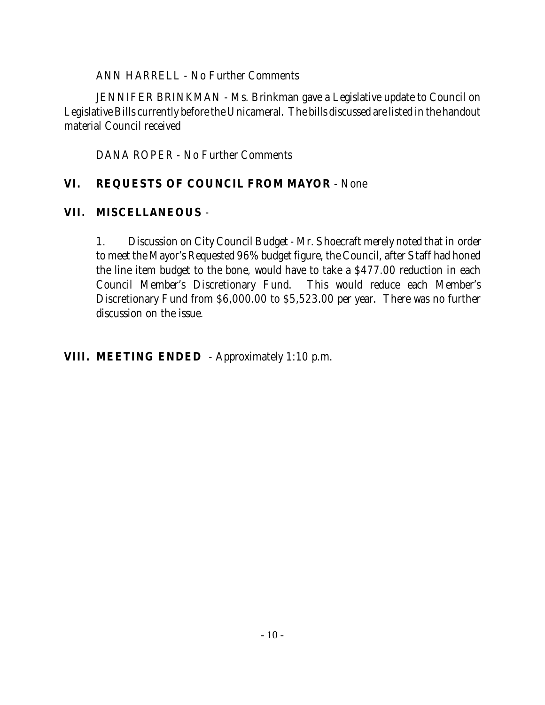ANN HARRELL - No Further Comments

JENNIFER BRINKMAN - Ms. Brinkman gave a Legislative update to Council on Legislative Bills currently before the Unicameral. The bills discussed are listed in the handout material Council received

DANA ROPER - No Further Comments

# **VI. REQUESTS OF COUNCIL FROM MAYOR** - None

# **VII. MISCELLANEOUS** -

1. Discussion on City Council Budget - Mr. Shoecraft merely noted that in order to meet the Mayor's Requested 96% budget figure, the Council, after Staff had honed the line item budget to the bone, would have to take a \$477.00 reduction in each Council Member's Discretionary Fund. This would reduce each Member's Discretionary Fund from \$6,000.00 to \$5,523.00 per year. There was no further discussion on the issue.

**VIII. MEETING ENDED** - Approximately 1:10 p.m.